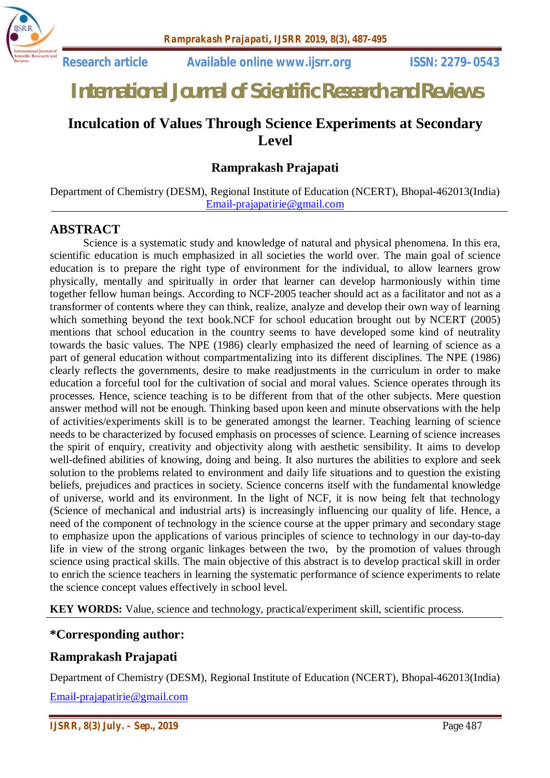

 **Research article Available online www.ijsrr.org ISSN: 2279–0543**

# *International Journal of Scientific Research and Reviews*

# **Inculcation of Values Through Science Experiments at Secondary Level**

# **Ramprakash Prajapati**

Department of Chemistry (DESM), Regional Institute of Education (NCERT), Bhopal-462013(India) Email-prajapatirie@gmail.com

# **ABSTRACT**

Science is a systematic study and knowledge of natural and physical phenomena. In this era, scientific education is much emphasized in all societies the world over. The main goal of science education is to prepare the right type of environment for the individual, to allow learners grow physically, mentally and spiritually in order that learner can develop harmoniously within time together fellow human beings. According to NCF-2005 teacher should act as a facilitator and not as a transformer of contents where they can think, realize, analyze and develop their own way of learning which something beyond the text book.NCF for school education brought out by NCERT (2005) mentions that school education in the country seems to have developed some kind of neutrality towards the basic values. The NPE (1986) clearly emphasized the need of learning of science as a part of general education without compartmentalizing into its different disciplines. The NPE (1986) clearly reflects the governments, desire to make readjustments in the curriculum in order to make education a forceful tool for the cultivation of social and moral values. Science operates through its processes. Hence, science teaching is to be different from that of the other subjects. Mere question answer method will not be enough. Thinking based upon keen and minute observations with the help of activities/experiments skill is to be generated amongst the learner. Teaching learning of science needs to be characterized by focused emphasis on processes of science. Learning of science increases the spirit of enquiry, creativity and objectivity along with aesthetic sensibility. It aims to develop well-defined abilities of knowing, doing and being. It also nurtures the abilities to explore and seek solution to the problems related to environment and daily life situations and to question the existing beliefs, prejudices and practices in society. Science concerns itself with the fundamental knowledge of universe, world and its environment. In the light of NCF, it is now being felt that technology (Science of mechanical and industrial arts) is increasingly influencing our quality of life. Hence, a need of the component of technology in the science course at the upper primary and secondary stage to emphasize upon the applications of various principles of science to technology in our day-to-day life in view of the strong organic linkages between the two, by the promotion of values through science using practical skills. The main objective of this abstract is to develop practical skill in order to enrich the science teachers in learning the systematic performance of science experiments to relate the science concept values effectively in school level.

**KEY WORDS:** Value, science and technology, practical/experiment skill, scientific process.

# **\*Corresponding author:**

# **Ramprakash Prajapati**

Department of Chemistry (DESM), Regional Institute of Education (NCERT), Bhopal-462013(India)

Email-prajapatirie@gmail.com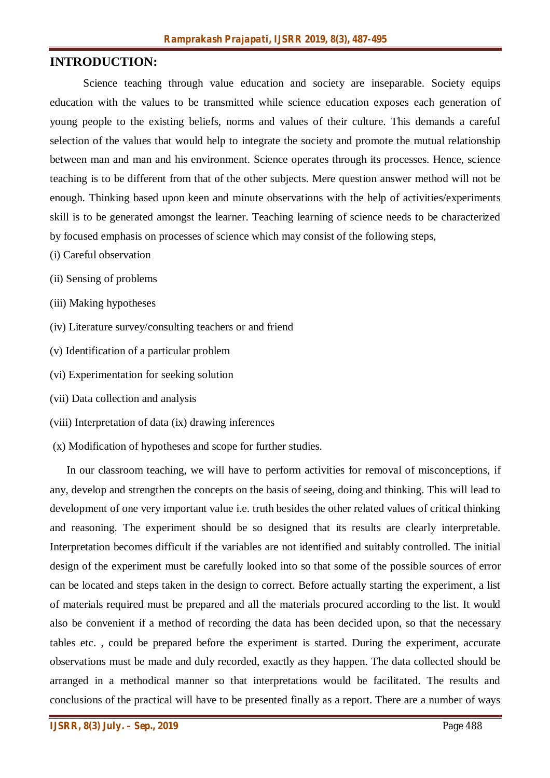# **INTRODUCTION:**

Science teaching through value education and society are inseparable. Society equips education with the values to be transmitted while science education exposes each generation of young people to the existing beliefs, norms and values of their culture. This demands a careful selection of the values that would help to integrate the society and promote the mutual relationship between man and man and his environment. Science operates through its processes. Hence, science teaching is to be different from that of the other subjects. Mere question answer method will not be enough. Thinking based upon keen and minute observations with the help of activities/experiments skill is to be generated amongst the learner. Teaching learning of science needs to be characterized by focused emphasis on processes of science which may consist of the following steps,

- (i) Careful observation
- (ii) Sensing of problems
- (iii) Making hypotheses
- (iv) Literature survey/consulting teachers or and friend
- (v) Identification of a particular problem
- (vi) Experimentation for seeking solution
- (vii) Data collection and analysis
- (viii) Interpretation of data (ix) drawing inferences
- (x) Modification of hypotheses and scope for further studies.

In our classroom teaching, we will have to perform activities for removal of misconceptions, if any, develop and strengthen the concepts on the basis of seeing, doing and thinking. This will lead to development of one very important value i.e. truth besides the other related values of critical thinking and reasoning. The experiment should be so designed that its results are clearly interpretable. Interpretation becomes difficult if the variables are not identified and suitably controlled. The initial design of the experiment must be carefully looked into so that some of the possible sources of error can be located and steps taken in the design to correct. Before actually starting the experiment, a list of materials required must be prepared and all the materials procured according to the list. It would also be convenient if a method of recording the data has been decided upon, so that the necessary tables etc. , could be prepared before the experiment is started. During the experiment, accurate observations must be made and duly recorded, exactly as they happen. The data collected should be arranged in a methodical manner so that interpretations would be facilitated. The results and conclusions of the practical will have to be presented finally as a report. There are a number of ways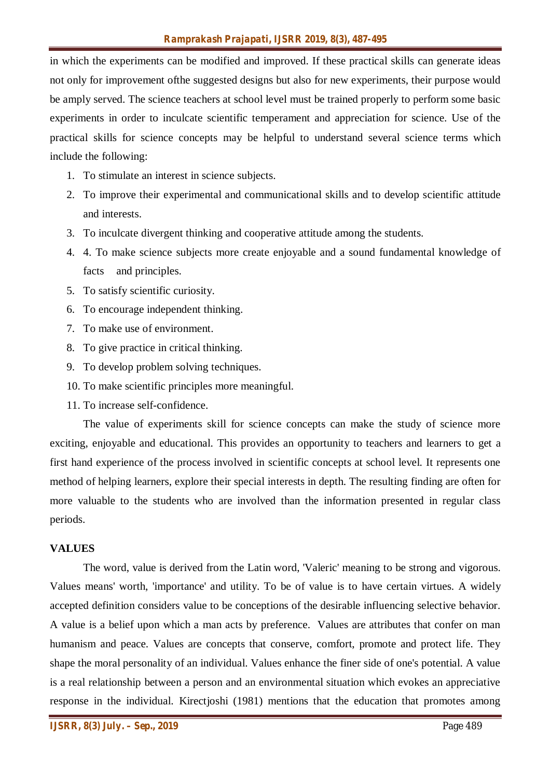in which the experiments can be modified and improved. If these practical skills can generate ideas not only for improvement ofthe suggested designs but also for new experiments, their purpose would be amply served. The science teachers at school level must be trained properly to perform some basic experiments in order to inculcate scientific temperament and appreciation for science. Use of the practical skills for science concepts may be helpful to understand several science terms which include the following:

- 1. To stimulate an interest in science subjects.
- 2. To improve their experimental and communicational skills and to develop scientific attitude and interests.
- 3. To inculcate divergent thinking and cooperative attitude among the students.
- 4. 4. To make science subjects more create enjoyable and a sound fundamental knowledge of facts and principles.
- 5. To satisfy scientific curiosity.
- 6. To encourage independent thinking.
- 7. To make use of environment.
- 8. To give practice in critical thinking.
- 9. To develop problem solving techniques.
- 10. To make scientific principles more meaningful.
- 11. To increase self-confidence.

The value of experiments skill for science concepts can make the study of science more exciting, enjoyable and educational. This provides an opportunity to teachers and learners to get a first hand experience of the process involved in scientific concepts at school level. It represents one method of helping learners, explore their special interests in depth. The resulting finding are often for more valuable to the students who are involved than the information presented in regular class periods.

#### **VALUES**

The word, value is derived from the Latin word, 'Valeric' meaning to be strong and vigorous. Values means' worth, 'importance' and utility. To be of value is to have certain virtues. A widely accepted definition considers value to be conceptions of the desirable influencing selective behavior. A value is a belief upon which a man acts by preference. Values are attributes that confer on man humanism and peace. Values are concepts that conserve, comfort, promote and protect life. They shape the moral personality of an individual. Values enhance the finer side of one's potential. A value is a real relationship between a person and an environmental situation which evokes an appreciative response in the individual. Kirectjoshi (1981) mentions that the education that promotes among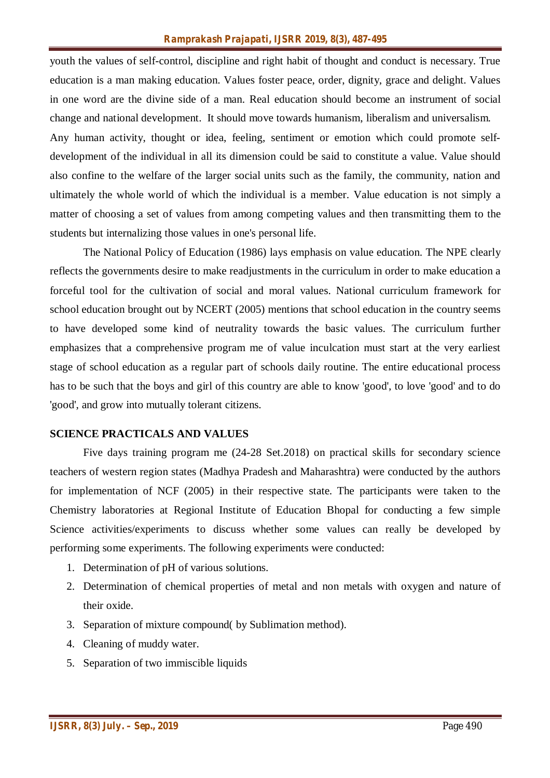youth the values of self-control, discipline and right habit of thought and conduct is necessary. True education is a man making education. Values foster peace, order, dignity, grace and delight. Values in one word are the divine side of a man. Real education should become an instrument of social change and national development. It should move towards humanism, liberalism and universalism. Any human activity, thought or idea, feeling, sentiment or emotion which could promote selfdevelopment of the individual in all its dimension could be said to constitute a value. Value should also confine to the welfare of the larger social units such as the family, the community, nation and ultimately the whole world of which the individual is a member. Value education is not simply a matter of choosing a set of values from among competing values and then transmitting them to the students but internalizing those values in one's personal life.

The National Policy of Education (1986) lays emphasis on value education. The NPE clearly reflects the governments desire to make readjustments in the curriculum in order to make education a forceful tool for the cultivation of social and moral values. National curriculum framework for school education brought out by NCERT (2005) mentions that school education in the country seems to have developed some kind of neutrality towards the basic values. The curriculum further emphasizes that a comprehensive program me of value inculcation must start at the very earliest stage of school education as a regular part of schools daily routine. The entire educational process has to be such that the boys and girl of this country are able to know 'good', to love 'good' and to do 'good', and grow into mutually tolerant citizens.

#### **SCIENCE PRACTICALS AND VALUES**

Five days training program me (24-28 Set.2018) on practical skills for secondary science teachers of western region states (Madhya Pradesh and Maharashtra) were conducted by the authors for implementation of NCF (2005) in their respective state. The participants were taken to the Chemistry laboratories at Regional Institute of Education Bhopal for conducting a few simple Science activities/experiments to discuss whether some values can really be developed by performing some experiments. The following experiments were conducted:

- 1. Determination of pH of various solutions.
- 2. Determination of chemical properties of metal and non metals with oxygen and nature of their oxide.
- 3. Separation of mixture compound( by Sublimation method).
- 4. Cleaning of muddy water.
- 5. Separation of two immiscible liquids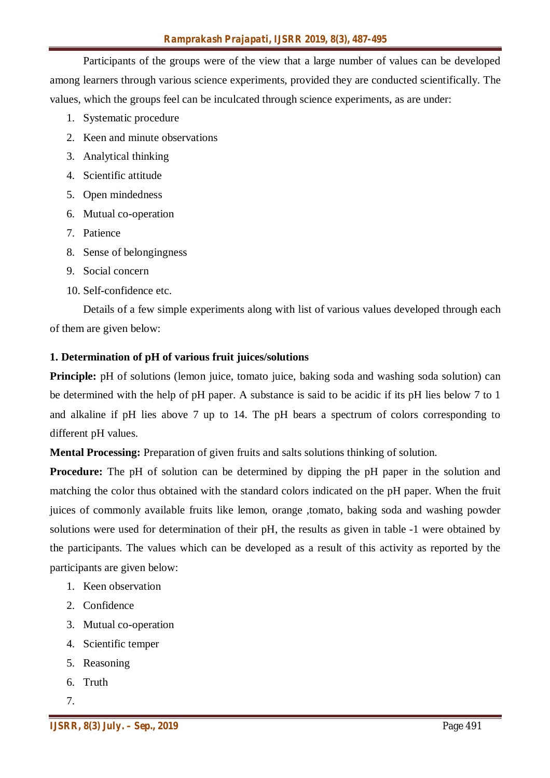Participants of the groups were of the view that a large number of values can be developed among learners through various science experiments, provided they are conducted scientifically. The values, which the groups feel can be inculcated through science experiments, as are under:

- 1. Systematic procedure
- 2. Keen and minute observations
- 3. Analytical thinking
- 4. Scientific attitude
- 5. Open mindedness
- 6. Mutual co-operation
- 7. Patience
- 8. Sense of belongingness
- 9. Social concern
- 10. Self-confidence etc.

Details of a few simple experiments along with list of various values developed through each of them are given below:

### **1. Determination of pH of various fruit juices/solutions**

**Principle:** pH of solutions (lemon juice, tomato juice, baking soda and washing soda solution) can be determined with the help of pH paper. A substance is said to be acidic if its pH lies below 7 to 1 and alkaline if pH lies above 7 up to 14. The pH bears a spectrum of colors corresponding to different pH values.

**Mental Processing:** Preparation of given fruits and salts solutions thinking of solution.

**Procedure:** The pH of solution can be determined by dipping the pH paper in the solution and matching the color thus obtained with the standard colors indicated on the pH paper. When the fruit juices of commonly available fruits like lemon, orange ,tomato, baking soda and washing powder solutions were used for determination of their pH, the results as given in table -1 were obtained by the participants. The values which can be developed as a result of this activity as reported by the participants are given below:

- 1. Keen observation
- 2. Confidence
- 3. Mutual co-operation
- 4. Scientific temper
- 5. Reasoning
- 6. Truth
- 7.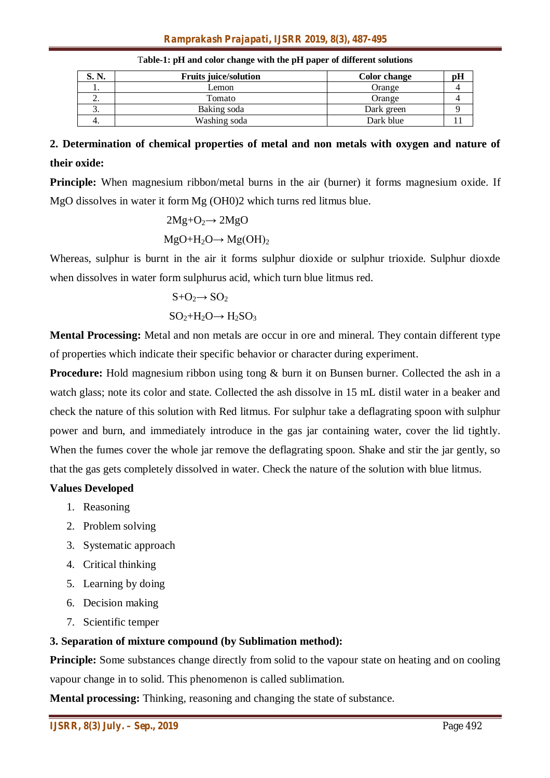| S. N. | <b>Fruits juice/solution</b> | Color change | pН |
|-------|------------------------------|--------------|----|
|       | Lemon                        | Orange       |    |
| ,.    | Tomato                       | Orange       |    |
|       | Baking soda                  | Dark green   |    |
|       | Washing soda                 | Dark blue    |    |

T**able-1: pH and color change with the pH paper of different solutions**

# **2. Determination of chemical properties of metal and non metals with oxygen and nature of their oxide:**

**Principle:** When magnesium ribbon/metal burns in the air (burner) it forms magnesium oxide. If MgO dissolves in water it form Mg (OH0)2 which turns red litmus blue.

> $2Mg + O_2 \rightarrow 2MgO$  $MgO+H_2O \rightarrow Mg(OH)_2$

Whereas, sulphur is burnt in the air it forms sulphur dioxide or sulphur trioxide. Sulphur dioxde when dissolves in water form sulphurus acid, which turn blue litmus red.

$$
S+O_2 \rightarrow SO_2
$$

$$
SO_2+H_2O \rightarrow H_2SO_3
$$

**Mental Processing:** Metal and non metals are occur in ore and mineral. They contain different type of properties which indicate their specific behavior or character during experiment.

**Procedure:** Hold magnesium ribbon using tong & burn it on Bunsen burner. Collected the ash in a watch glass; note its color and state. Collected the ash dissolve in 15 mL distil water in a beaker and check the nature of this solution with Red litmus. For sulphur take a deflagrating spoon with sulphur power and burn, and immediately introduce in the gas jar containing water, cover the lid tightly. When the fumes cover the whole jar remove the deflagrating spoon. Shake and stir the jar gently, so that the gas gets completely dissolved in water. Check the nature of the solution with blue litmus.

#### **Values Developed**

- 1. Reasoning
- 2. Problem solving
- 3. Systematic approach
- 4. Critical thinking
- 5. Learning by doing
- 6. Decision making
- 7. Scientific temper

#### **3. Separation of mixture compound (by Sublimation method):**

**Principle:** Some substances change directly from solid to the vapour state on heating and on cooling vapour change in to solid. This phenomenon is called sublimation.

**Mental processing:** Thinking, reasoning and changing the state of substance.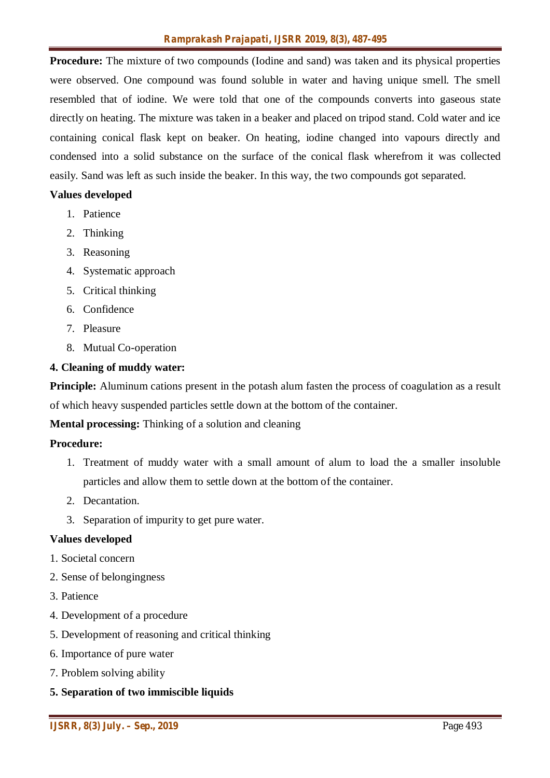**Procedure:** The mixture of two compounds (Iodine and sand) was taken and its physical properties were observed. One compound was found soluble in water and having unique smell. The smell resembled that of iodine. We were told that one of the compounds converts into gaseous state directly on heating. The mixture was taken in a beaker and placed on tripod stand. Cold water and ice containing conical flask kept on beaker. On heating, iodine changed into vapours directly and condensed into a solid substance on the surface of the conical flask wherefrom it was collected easily. Sand was left as such inside the beaker. In this way, the two compounds got separated.

#### **Values developed**

- 1. Patience
- 2. Thinking
- 3. Reasoning
- 4. Systematic approach
- 5. Critical thinking
- 6. Confidence
- 7. Pleasure
- 8. Mutual Co-operation

#### **4. Cleaning of muddy water:**

**Principle:** Aluminum cations present in the potash alum fasten the process of coagulation as a result of which heavy suspended particles settle down at the bottom of the container.

**Mental processing:** Thinking of a solution and cleaning

#### **Procedure:**

- 1. Treatment of muddy water with a small amount of alum to load the a smaller insoluble particles and allow them to settle down at the bottom of the container.
- 2. Decantation.
- 3. Separation of impurity to get pure water.

#### **Values developed**

- 1. Societal concern
- 2. Sense of belongingness
- 3. Patience
- 4. Development of a procedure
- 5. Development of reasoning and critical thinking
- 6. Importance of pure water
- 7. Problem solving ability

#### **5. Separation of two immiscible liquids**

*IJSRR, 8(3) July. – Sep., 2019* Page 493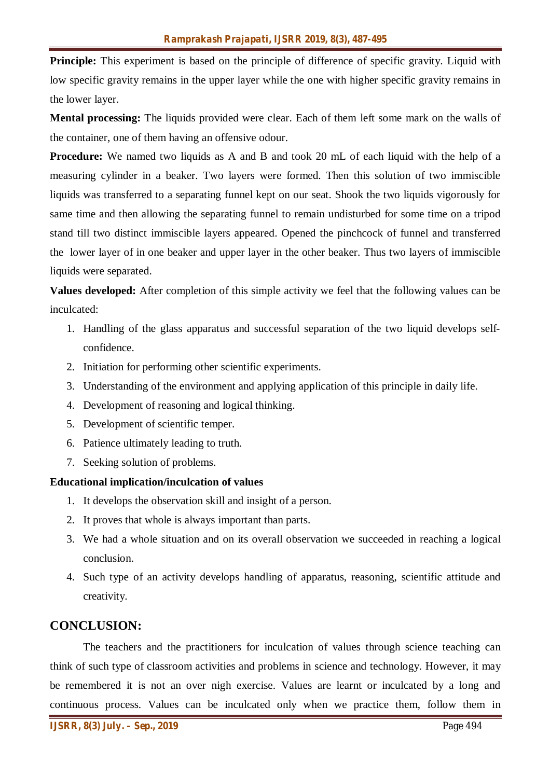**Principle:** This experiment is based on the principle of difference of specific gravity. Liquid with low specific gravity remains in the upper layer while the one with higher specific gravity remains in the lower layer.

**Mental processing:** The liquids provided were clear. Each of them left some mark on the walls of the container, one of them having an offensive odour.

**Procedure:** We named two liquids as A and B and took 20 mL of each liquid with the help of a measuring cylinder in a beaker. Two layers were formed. Then this solution of two immiscible liquids was transferred to a separating funnel kept on our seat. Shook the two liquids vigorously for same time and then allowing the separating funnel to remain undisturbed for some time on a tripod stand till two distinct immiscible layers appeared. Opened the pinchcock of funnel and transferred the lower layer of in one beaker and upper layer in the other beaker. Thus two layers of immiscible liquids were separated.

**Values developed:** After completion of this simple activity we feel that the following values can be inculcated:

- 1. Handling of the glass apparatus and successful separation of the two liquid develops selfconfidence.
- 2. Initiation for performing other scientific experiments.
- 3. Understanding of the environment and applying application of this principle in daily life.
- 4. Development of reasoning and logical thinking.
- 5. Development of scientific temper.
- 6. Patience ultimately leading to truth.
- 7. Seeking solution of problems.

# **Educational implication/inculcation of values**

- 1. It develops the observation skill and insight of a person.
- 2. It proves that whole is always important than parts.
- 3. We had a whole situation and on its overall observation we succeeded in reaching a logical conclusion.
- 4. Such type of an activity develops handling of apparatus, reasoning, scientific attitude and creativity.

# **CONCLUSION:**

The teachers and the practitioners for inculcation of values through science teaching can think of such type of classroom activities and problems in science and technology. However, it may be remembered it is not an over nigh exercise. Values are learnt or inculcated by a long and continuous process. Values can be inculcated only when we practice them, follow them in